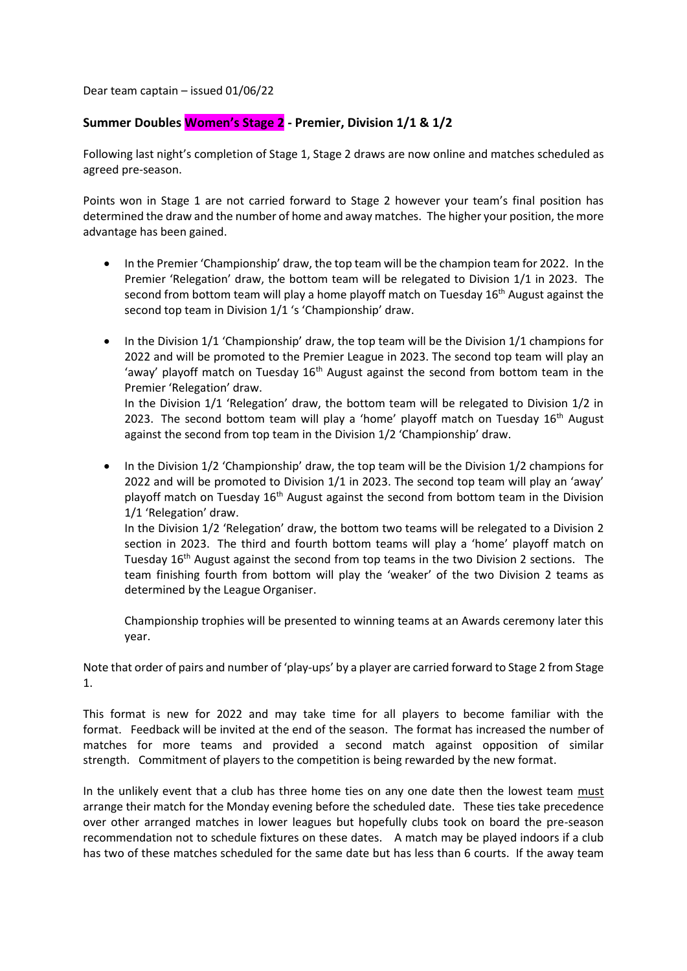Dear team captain – issued 01/06/22

## **Summer Doubles Women's Stage 2 - Premier, Division 1/1 & 1/2**

Following last night's completion of Stage 1, Stage 2 draws are now online and matches scheduled as agreed pre-season.

Points won in Stage 1 are not carried forward to Stage 2 however your team's final position has determined the draw and the number of home and away matches. The higher your position, the more advantage has been gained.

- In the Premier 'Championship' draw, the top team will be the champion team for 2022. In the Premier 'Relegation' draw, the bottom team will be relegated to Division 1/1 in 2023. The second from bottom team will play a home playoff match on Tuesday  $16<sup>th</sup>$  August against the second top team in Division 1/1 's 'Championship' draw.
- In the Division 1/1 'Championship' draw, the top team will be the Division 1/1 champions for 2022 and will be promoted to the Premier League in 2023. The second top team will play an 'away' playoff match on Tuesday  $16<sup>th</sup>$  August against the second from bottom team in the Premier 'Relegation' draw.

In the Division 1/1 'Relegation' draw, the bottom team will be relegated to Division 1/2 in 2023. The second bottom team will play a 'home' playoff match on Tuesday  $16<sup>th</sup>$  August against the second from top team in the Division 1/2 'Championship' draw.

• In the Division 1/2 'Championship' draw, the top team will be the Division 1/2 champions for 2022 and will be promoted to Division 1/1 in 2023. The second top team will play an 'away' playoff match on Tuesday 16<sup>th</sup> August against the second from bottom team in the Division 1/1 'Relegation' draw.

In the Division 1/2 'Relegation' draw, the bottom two teams will be relegated to a Division 2 section in 2023. The third and fourth bottom teams will play a 'home' playoff match on Tuesday  $16<sup>th</sup>$  August against the second from top teams in the two Division 2 sections. The team finishing fourth from bottom will play the 'weaker' of the two Division 2 teams as determined by the League Organiser.

Championship trophies will be presented to winning teams at an Awards ceremony later this year.

Note that order of pairs and number of 'play-ups' by a player are carried forward to Stage 2 from Stage 1.

This format is new for 2022 and may take time for all players to become familiar with the format. Feedback will be invited at the end of the season. The format has increased the number of matches for more teams and provided a second match against opposition of similar strength. Commitment of players to the competition is being rewarded by the new format.

In the unlikely event that a club has three home ties on any one date then the lowest team must arrange their match for the Monday evening before the scheduled date. These ties take precedence over other arranged matches in lower leagues but hopefully clubs took on board the pre-season recommendation not to schedule fixtures on these dates. A match may be played indoors if a club has two of these matches scheduled for the same date but has less than 6 courts. If the away team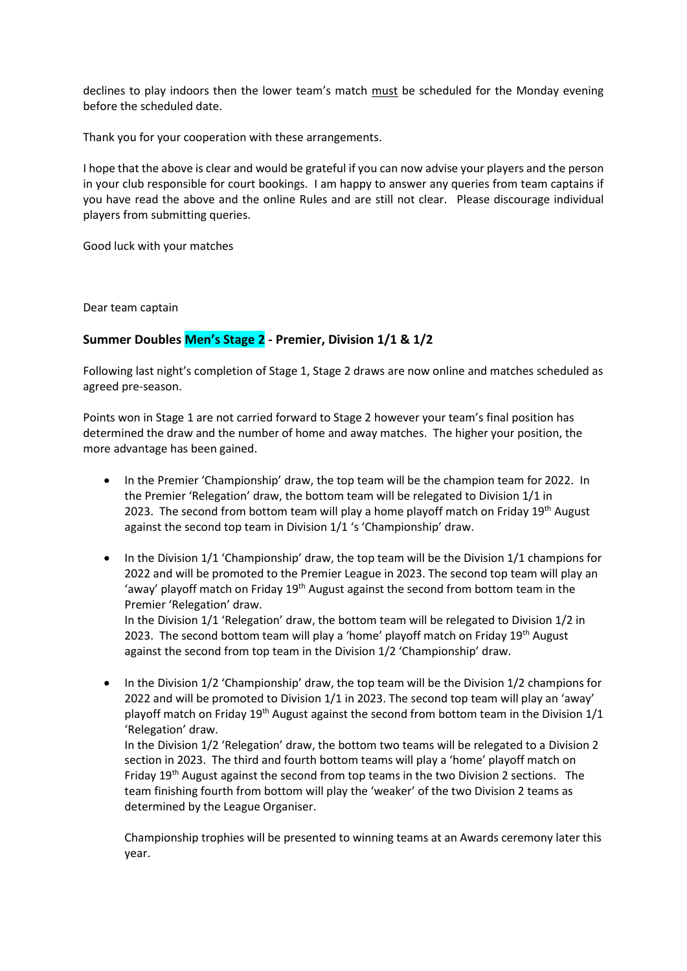declines to play indoors then the lower team's match must be scheduled for the Monday evening before the scheduled date.

Thank you for your cooperation with these arrangements.

I hope that the above is clear and would be grateful if you can now advise your players and the person in your club responsible for court bookings. I am happy to answer any queries from team captains if you have read the above and the online Rules and are still not clear. Please discourage individual players from submitting queries.

Good luck with your matches

Dear team captain

## **Summer Doubles Men's Stage 2 - Premier, Division 1/1 & 1/2**

Following last night's completion of Stage 1, Stage 2 draws are now online and matches scheduled as agreed pre-season.

Points won in Stage 1 are not carried forward to Stage 2 however your team's final position has determined the draw and the number of home and away matches. The higher your position, the more advantage has been gained.

- In the Premier 'Championship' draw, the top team will be the champion team for 2022. In the Premier 'Relegation' draw, the bottom team will be relegated to Division 1/1 in 2023. The second from bottom team will play a home playoff match on Friday 19th August against the second top team in Division 1/1 's 'Championship' draw.
- In the Division 1/1 'Championship' draw, the top team will be the Division 1/1 champions for 2022 and will be promoted to the Premier League in 2023. The second top team will play an 'away' playoff match on Friday  $19<sup>th</sup>$  August against the second from bottom team in the Premier 'Relegation' draw. In the Division 1/1 'Relegation' draw, the bottom team will be relegated to Division 1/2 in

2023. The second bottom team will play a 'home' playoff match on Friday 19<sup>th</sup> August against the second from top team in the Division 1/2 'Championship' draw.

• In the Division 1/2 'Championship' draw, the top team will be the Division 1/2 champions for 2022 and will be promoted to Division 1/1 in 2023. The second top team will play an 'away' playoff match on Friday  $19<sup>th</sup>$  August against the second from bottom team in the Division  $1/1$ 'Relegation' draw. In the Division 1/2 'Relegation' draw, the bottom two teams will be relegated to a Division 2

section in 2023. The third and fourth bottom teams will play a 'home' playoff match on Friday 19<sup>th</sup> August against the second from top teams in the two Division 2 sections. The team finishing fourth from bottom will play the 'weaker' of the two Division 2 teams as determined by the League Organiser.

Championship trophies will be presented to winning teams at an Awards ceremony later this year.